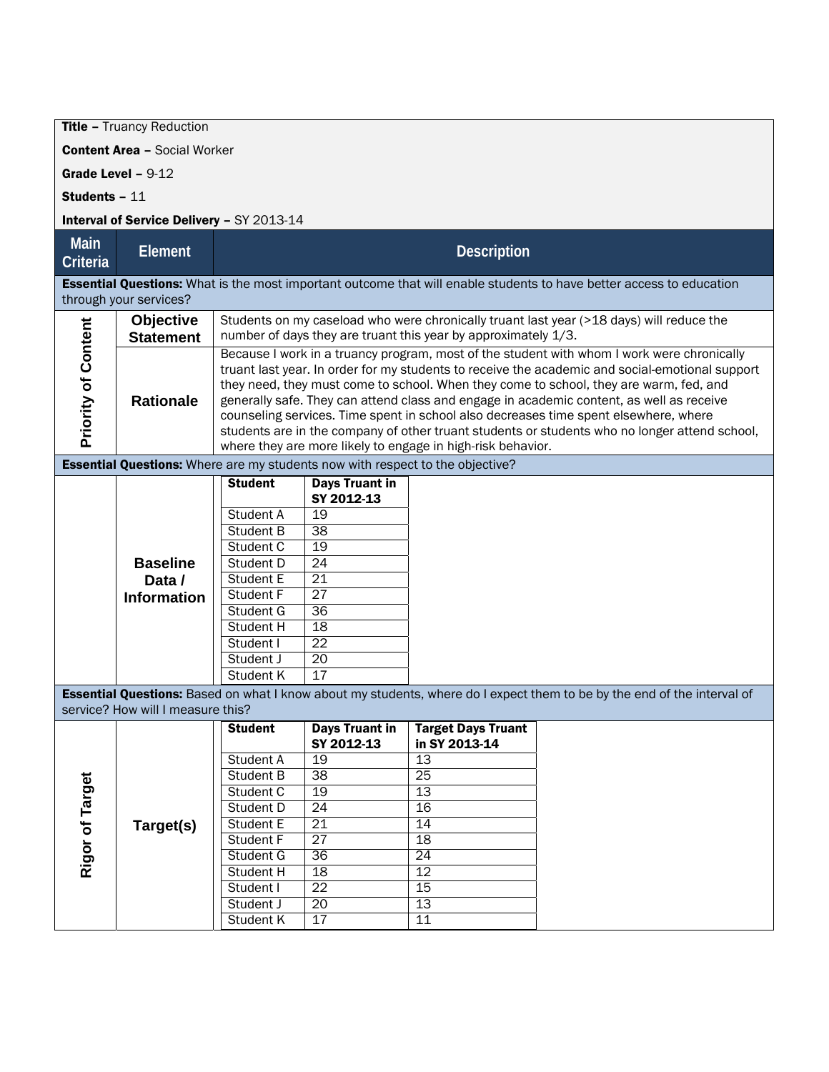**Title - Truancy Reduction** 

Content Area – Social Worker

Grade Level – 9-12

Students – 11

## Interval of Service Delivery – SY 2013-14

| <b>Main</b>                                                                                                                                           | Element                                         | <b>Description</b>                                                                                                                                                                                                                                                                                                                                                                                                                                                                                                                                                                                                                          |                                                                                                                                                           |                                                                                                              |                                                                                                                         |  |  |  |
|-------------------------------------------------------------------------------------------------------------------------------------------------------|-------------------------------------------------|---------------------------------------------------------------------------------------------------------------------------------------------------------------------------------------------------------------------------------------------------------------------------------------------------------------------------------------------------------------------------------------------------------------------------------------------------------------------------------------------------------------------------------------------------------------------------------------------------------------------------------------------|-----------------------------------------------------------------------------------------------------------------------------------------------------------|--------------------------------------------------------------------------------------------------------------|-------------------------------------------------------------------------------------------------------------------------|--|--|--|
| Criteria                                                                                                                                              |                                                 |                                                                                                                                                                                                                                                                                                                                                                                                                                                                                                                                                                                                                                             |                                                                                                                                                           |                                                                                                              |                                                                                                                         |  |  |  |
| <b>Essential Questions:</b> What is the most important outcome that will enable students to have better access to education<br>through your services? |                                                 |                                                                                                                                                                                                                                                                                                                                                                                                                                                                                                                                                                                                                                             |                                                                                                                                                           |                                                                                                              |                                                                                                                         |  |  |  |
| <b>Priority of Content</b>                                                                                                                            | <b>Objective</b><br><b>Statement</b>            | Students on my caseload who were chronically truant last year (>18 days) will reduce the<br>number of days they are truant this year by approximately 1/3.                                                                                                                                                                                                                                                                                                                                                                                                                                                                                  |                                                                                                                                                           |                                                                                                              |                                                                                                                         |  |  |  |
|                                                                                                                                                       | <b>Rationale</b>                                | Because I work in a truancy program, most of the student with whom I work were chronically<br>truant last year. In order for my students to receive the academic and social-emotional support<br>they need, they must come to school. When they come to school, they are warm, fed, and<br>generally safe. They can attend class and engage in academic content, as well as receive<br>counseling services. Time spent in school also decreases time spent elsewhere, where<br>students are in the company of other truant students or students who no longer attend school,<br>where they are more likely to engage in high-risk behavior. |                                                                                                                                                           |                                                                                                              |                                                                                                                         |  |  |  |
| <b>Essential Questions:</b> Where are my students now with respect to the objective?                                                                  |                                                 |                                                                                                                                                                                                                                                                                                                                                                                                                                                                                                                                                                                                                                             |                                                                                                                                                           |                                                                                                              |                                                                                                                         |  |  |  |
|                                                                                                                                                       | <b>Baseline</b><br>Data /<br><b>Information</b> | <b>Student</b><br>Student A<br><b>Student B</b><br>Student C<br>Student D<br>Student E<br>Student F<br>Student G<br><b>Student H</b><br>Student I<br>Student J<br>Student K                                                                                                                                                                                                                                                                                                                                                                                                                                                                 | <b>Days Truant in</b><br>SY 2012-13<br>19<br>$\overline{38}$<br>19<br>24<br>$\overline{21}$<br>27<br>$\overline{36}$<br>18<br>22<br>$\overline{20}$<br>17 |                                                                                                              | Essential Questions: Based on what I know about my students, where do I expect them to be by the end of the interval of |  |  |  |
|                                                                                                                                                       | service? How will I measure this?               |                                                                                                                                                                                                                                                                                                                                                                                                                                                                                                                                                                                                                                             |                                                                                                                                                           |                                                                                                              |                                                                                                                         |  |  |  |
| Rigor of Target                                                                                                                                       | Target(s)                                       | <b>Student</b><br>Student A<br><b>Student B</b><br>Student C<br><b>Student D</b><br>Student E<br><b>Student F</b><br>Student G<br><b>Student H</b><br>Student I<br>Student J<br>Student K                                                                                                                                                                                                                                                                                                                                                                                                                                                   | <b>Days Truant in</b><br>SY 2012-13<br>19<br>38<br>19<br>24<br>21<br>$\overline{27}$<br>36<br>18<br>22<br>20<br>17                                        | <b>Target Days Truant</b><br>in SY 2013-14<br>13<br>25<br>13<br>16<br>14<br>18<br>24<br>12<br>15<br>13<br>11 |                                                                                                                         |  |  |  |